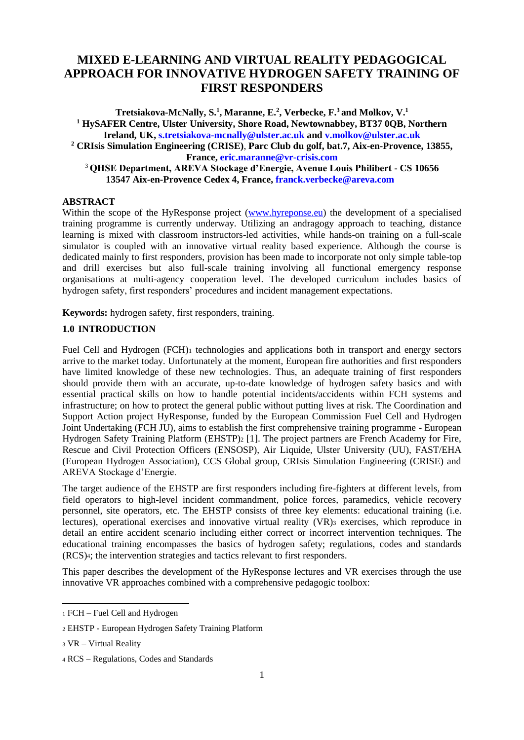# **MIXED E-LEARNING AND VIRTUAL REALITY PEDAGOGICAL APPROACH FOR INNOVATIVE HYDROGEN SAFETY TRAINING OF FIRST RESPONDERS**

**Tretsiakova-McNally, S.<sup>1</sup> , Maranne, E.<sup>2</sup> , Verbecke, F.<sup>3</sup> and Molkov, V.<sup>1</sup> <sup>1</sup> HySAFER Centre, Ulster University, Shore Road, Newtownabbey, BT37 0QB, Northern Ireland, UK, [s.tretsiakova-mcnally@ulster.ac.uk](mailto:s.tretsiakova-mcnally@ulster.ac.uk) and [v.molkov@ulster.ac.uk](mailto:v.molkov@ulster.ac.uk) <sup>2</sup> CRIsis Simulation Engineering (CRISE)**, **Parc Club du golf, bat.7, Aix-en-Provence, 13855, France, [eric.maranne@vr-crisis.com](mailto:eric.maranne@vr-crisis.com)**

<sup>3</sup>**QHSE Department, AREVA Stockage d'Energie, Avenue Louis Philibert - CS 10656 13547 Aix-en-Provence Cedex 4, France, franck.verbecke@areva.com**

#### **ABSTRACT**

Within the scope of the HyResponse project [\(www.hyreponse.eu\)](http://www.hyreponse.eu/) the development of a specialised training programme is currently underway. Utilizing an andragogy approach to teaching, distance learning is mixed with classroom instructors-led activities, while hands-on training on a full-scale simulator is coupled with an innovative virtual reality based experience. Although the course is dedicated mainly to first responders, provision has been made to incorporate not only simple table-top and drill exercises but also full-scale training involving all functional emergency response organisations at multi-agency cooperation level. The developed curriculum includes basics of hydrogen safety, first responders' procedures and incident management expectations.

**Keywords:** hydrogen safety, first responders, training.

### **1.0 INTRODUCTION**

Fuel Cell and Hydrogen (FCH)<sup>1</sup> technologies and applications both in transport and energy sectors arrive to the market today. Unfortunately at the moment, European fire authorities and first responders have limited knowledge of these new technologies. Thus, an adequate training of first responders should provide them with an accurate, up-to-date knowledge of hydrogen safety basics and with essential practical skills on how to handle potential incidents/accidents within FCH systems and infrastructure; on how to protect the general public without putting lives at risk. The Coordination and Support Action project HyResponse, funded by the European Commission Fuel Cell and Hydrogen Joint Undertaking (FCH JU), aims to establish the first comprehensive training programme - European Hydrogen Safety Training Platform (EHSTP)<sup>2</sup> [1]. The project partners are French Academy for Fire, Rescue and Civil Protection Officers (ENSOSP), Air Liquide, Ulster University (UU), FAST/EHA (European Hydrogen Association), CCS Global group, CRIsis Simulation Engineering (CRISE) and AREVA Stockage d'Energie.

The target audience of the EHSTP are first responders including fire-fighters at different levels, from field operators to high-level incident commandment, police forces, paramedics, vehicle recovery personnel, site operators, etc. The EHSTP consists of three key elements: educational training (i.e. lectures), operational exercises and innovative virtual reality (VR)<sup>3</sup> exercises, which reproduce in detail an entire accident scenario including either correct or incorrect intervention techniques. The educational training encompasses the basics of hydrogen safety; regulations, codes and standards (RCS)4; the intervention strategies and tactics relevant to first responders.

This paper describes the development of the HyResponse lectures and VR exercises through the use innovative VR approaches combined with a comprehensive pedagogic toolbox:

l

<sup>1</sup> FCH – Fuel Cell and Hydrogen

<sup>2</sup> EHSTP - European Hydrogen Safety Training Platform

<sup>3</sup> VR – Virtual Reality

<sup>4</sup> RCS – Regulations, Codes and Standards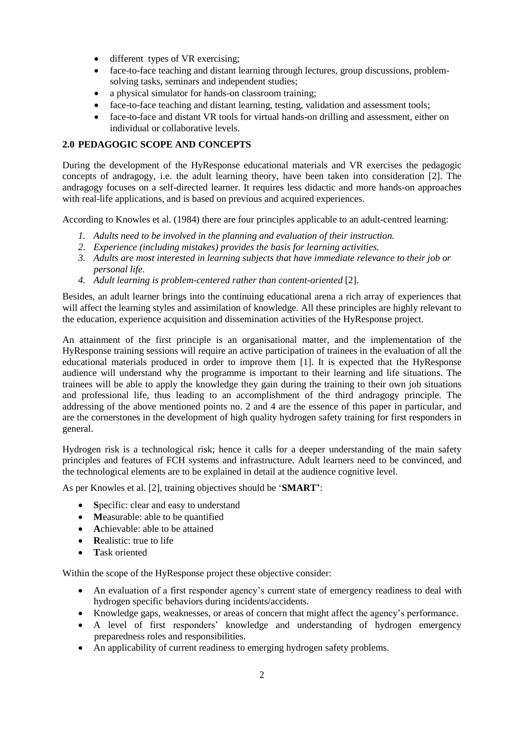- different types of VR exercising;
- face-to-face teaching and distant learning through lectures, group discussions, problemsolving tasks, seminars and independent studies;
- a physical simulator for hands-on classroom training:
- face-to-face teaching and distant learning, testing, validation and assessment tools;
- face-to-face and distant VR tools for virtual hands-on drilling and assessment, either on individual or collaborative levels.

## **2.0 PEDAGOGIC SCOPE AND CONCEPTS**

During the development of the HyResponse educational materials and VR exercises the pedagogic concepts of andragogy, i.e. the adult learning theory, have been taken into consideration [2]. The andragogy focuses on a self-directed learner. It requires less didactic and more hands-on approaches with real-life applications, and is based on previous and acquired experiences.

According to Knowles et al. (1984) there are four principles applicable to an adult-centred learning:

- *1. Adults need to be involved in the planning and evaluation of their instruction.*
- *2. Experience (including mistakes) provides the basis for learning activities.*
- *3. Adults are most interested in learning subjects that have immediate relevance to their job or personal life.*
- *4. Adult learning is problem-centered rather than content-oriented* [2].

Besides, an adult learner brings into the continuing educational arena a rich array of experiences that will affect the learning styles and assimilation of knowledge. All these principles are highly relevant to the education, experience acquisition and dissemination activities of the HyResponse project.

An attainment of the first principle is an organisational matter, and the implementation of the HyResponse training sessions will require an active participation of trainees in the evaluation of all the educational materials produced in order to improve them [1]. It is expected that the HyResponse audience will understand why the programme is important to their learning and life situations. The trainees will be able to apply the knowledge they gain during the training to their own job situations and professional life, thus leading to an accomplishment of the third andragogy principle. The addressing of the above mentioned points no. 2 and 4 are the essence of this paper in particular, and are the cornerstones in the development of high quality hydrogen safety training for first responders in general.

Hydrogen risk is a technological risk; hence it calls for a deeper understanding of the main safety principles and features of FCH systems and infrastructure. Adult learners need to be convinced, and the technological elements are to be explained in detail at the audience cognitive level.

As per Knowles et al. [2], training objectives should be '**SMART'**:

- Specific: clear and easy to understand
- Measurable: able to be quantified
- **Achievable: able to be attained**
- **Realistic:** true to life
- **T**ask oriented

Within the scope of the HyResponse project these objective consider:

- An evaluation of a first responder agency's current state of emergency readiness to deal with hydrogen specific behaviors during incidents/accidents.
- Knowledge gaps, weaknesses, or areas of concern that might affect the agency's performance.
- A level of first responders' knowledge and understanding of hydrogen emergency preparedness roles and responsibilities.
- An applicability of current readiness to emerging hydrogen safety problems.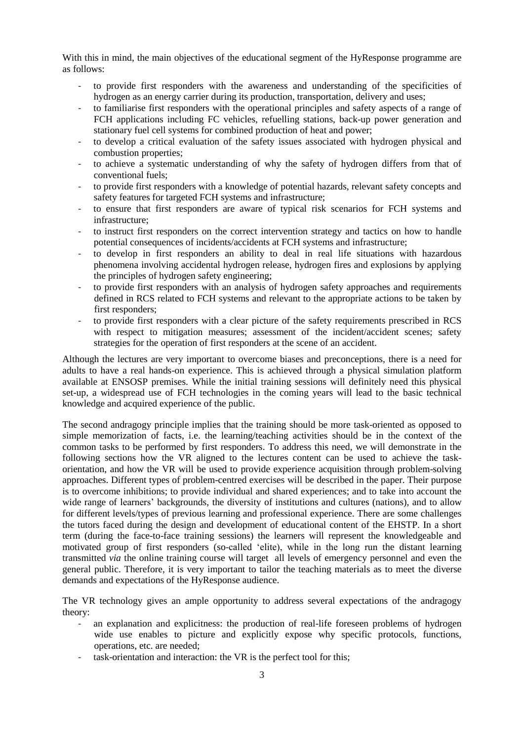With this in mind, the main objectives of the educational segment of the HyResponse programme are as follows:

- to provide first responders with the awareness and understanding of the specificities of hydrogen as an energy carrier during its production, transportation, delivery and uses;
- to familiarise first responders with the operational principles and safety aspects of a range of FCH applications including FC vehicles, refuelling stations, back-up power generation and stationary fuel cell systems for combined production of heat and power;
- to develop a critical evaluation of the safety issues associated with hydrogen physical and combustion properties;
- to achieve a systematic understanding of why the safety of hydrogen differs from that of conventional fuels;
- to provide first responders with a knowledge of potential hazards, relevant safety concepts and safety features for targeted FCH systems and infrastructure;
- to ensure that first responders are aware of typical risk scenarios for FCH systems and infrastructure;
- to instruct first responders on the correct intervention strategy and tactics on how to handle potential consequences of incidents/accidents at FCH systems and infrastructure;
- to develop in first responders an ability to deal in real life situations with hazardous phenomena involving accidental hydrogen release, hydrogen fires and explosions by applying the principles of hydrogen safety engineering;
- to provide first responders with an analysis of hydrogen safety approaches and requirements defined in RCS related to FCH systems and relevant to the appropriate actions to be taken by first responders;
- to provide first responders with a clear picture of the safety requirements prescribed in RCS with respect to mitigation measures; assessment of the incident/accident scenes; safety strategies for the operation of first responders at the scene of an accident.

Although the lectures are very important to overcome biases and preconceptions, there is a need for adults to have a real hands-on experience. This is achieved through a physical simulation platform available at ENSOSP premises. While the initial training sessions will definitely need this physical set-up, a widespread use of FCH technologies in the coming years will lead to the basic technical knowledge and acquired experience of the public.

The second andragogy principle implies that the training should be more task-oriented as opposed to simple memorization of facts, i.e. the learning/teaching activities should be in the context of the common tasks to be performed by first responders. To address this need, we will demonstrate in the following sections how the VR aligned to the lectures content can be used to achieve the taskorientation, and how the VR will be used to provide experience acquisition through problem-solving approaches. Different types of problem-centred exercises will be described in the paper. Their purpose is to overcome inhibitions; to provide individual and shared experiences; and to take into account the wide range of learners' backgrounds, the diversity of institutions and cultures (nations), and to allow for different levels/types of previous learning and professional experience. There are some challenges the tutors faced during the design and development of educational content of the EHSTP. In a short term (during the face-to-face training sessions) the learners will represent the knowledgeable and motivated group of first responders (so-called 'elite), while in the long run the distant learning transmitted *via* the online training course will target all levels of emergency personnel and even the general public. Therefore, it is very important to tailor the teaching materials as to meet the diverse demands and expectations of the HyResponse audience.

The VR technology gives an ample opportunity to address several expectations of the andragogy theory:

- an explanation and explicitness: the production of real-life foreseen problems of hydrogen wide use enables to picture and explicitly expose why specific protocols, functions, operations, etc. are needed;
- task-orientation and interaction: the VR is the perfect tool for this;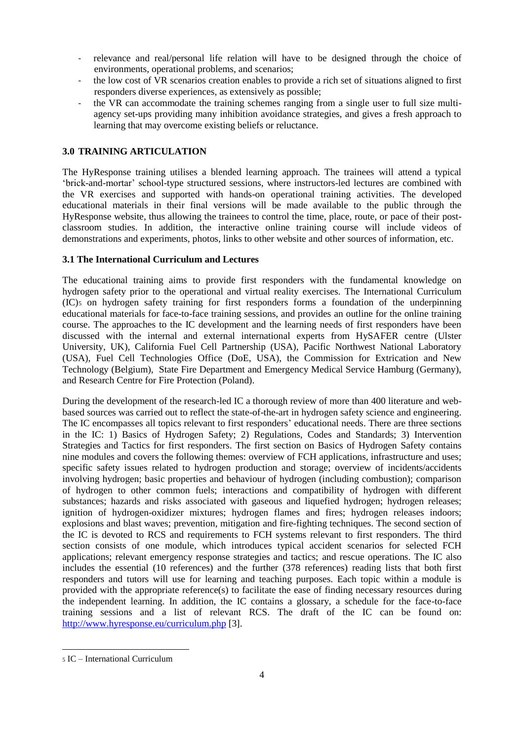- relevance and real/personal life relation will have to be designed through the choice of environments, operational problems, and scenarios;
- the low cost of VR scenarios creation enables to provide a rich set of situations aligned to first responders diverse experiences, as extensively as possible;
- the VR can accommodate the training schemes ranging from a single user to full size multiagency set-ups providing many inhibition avoidance strategies, and gives a fresh approach to learning that may overcome existing beliefs or reluctance.

## **3.0 TRAINING ARTICULATION**

The HyResponse training utilises a blended learning approach. The trainees will attend a typical 'brick-and-mortar' school-type structured sessions, where instructors-led lectures are combined with the VR exercises and supported with hands-on operational training activities. The developed educational materials in their final versions will be made available to the public through the HyResponse website, thus allowing the trainees to control the time, place, route, or pace of their postclassroom studies. In addition, the interactive online training course will include videos of demonstrations and experiments, photos, links to other website and other sources of information, etc.

## **3.1 The International Curriculum and Lectures**

The educational training aims to provide first responders with the fundamental knowledge on hydrogen safety prior to the operational and virtual reality exercises. The International Curriculum (IC)<sup>5</sup> on hydrogen safety training for first responders forms a foundation of the underpinning educational materials for face-to-face training sessions, and provides an outline for the online training course. The approaches to the IC development and the learning needs of first responders have been discussed with the internal and external international experts from HySAFER centre (Ulster University, UK), California Fuel Cell Partnership (USA), Pacific Northwest National Laboratory (USA), Fuel Cell Technologies Office (DoE, USA), the Commission for Extrication and New Technology (Belgium), State Fire Department and Emergency Medical Service Hamburg (Germany), and Research Centre for Fire Protection (Poland).

During the development of the research-led IC a thorough review of more than 400 literature and webbased sources was carried out to reflect the state-of-the-art in hydrogen safety science and engineering. The IC encompasses all topics relevant to first responders' educational needs. There are three sections in the IC: 1) Basics of Hydrogen Safety; 2) Regulations, Codes and Standards; 3) Intervention Strategies and Tactics for first responders. The first section on Basics of Hydrogen Safety contains nine modules and covers the following themes: overview of FCH applications, infrastructure and uses; specific safety issues related to hydrogen production and storage; overview of incidents/accidents involving hydrogen; basic properties and behaviour of hydrogen (including combustion); comparison of hydrogen to other common fuels; interactions and compatibility of hydrogen with different substances; hazards and risks associated with gaseous and liquefied hydrogen; hydrogen releases; ignition of hydrogen-oxidizer mixtures; hydrogen flames and fires; hydrogen releases indoors; explosions and blast waves; prevention, mitigation and fire-fighting techniques. The second section of the IC is devoted to RCS and requirements to FCH systems relevant to first responders. The third section consists of one module, which introduces typical accident scenarios for selected FCH applications; relevant emergency response strategies and tactics; and rescue operations. The IC also includes the essential (10 references) and the further (378 references) reading lists that both first responders and tutors will use for learning and teaching purposes. Each topic within a module is provided with the appropriate reference(s) to facilitate the ease of finding necessary resources during the independent learning. In addition, the IC contains a glossary, a schedule for the face-to-face training sessions and a list of relevant RCS. The draft of the IC can be found on: <http://www.hyresponse.eu/curriculum.php> [3].

l

<sup>5</sup> IC – International Curriculum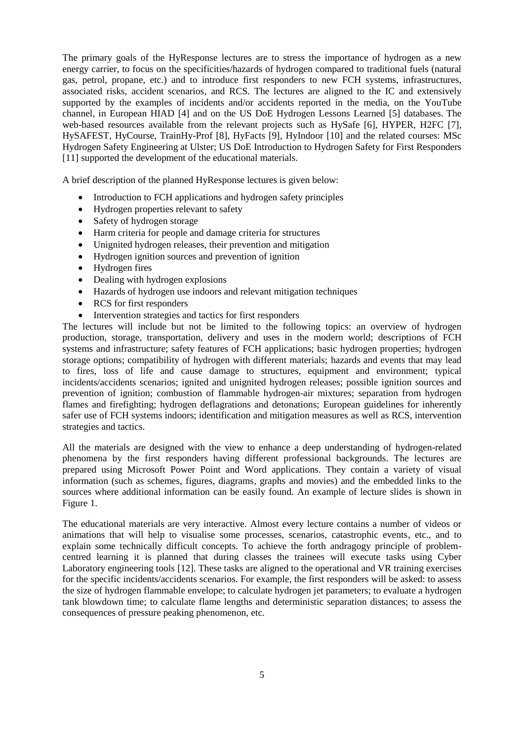The primary goals of the HyResponse lectures are to stress the importance of hydrogen as a new energy carrier, to focus on the specificities/hazards of hydrogen compared to traditional fuels (natural gas, petrol, propane, etc.) and to introduce first responders to new FCH systems, infrastructures, associated risks, accident scenarios, and RCS. The lectures are aligned to the IC and extensively supported by the examples of incidents and/or accidents reported in the media, on the YouTube channel, in European HIAD [4] and on the US DoE Hydrogen Lessons Learned [5] databases. The web-based resources available from the relevant projects such as HySafe [6], HYPER, H2FC [7], HySAFEST, HyCourse, TrainHy-Prof [8], HyFacts [9], HyIndoor [10] and the related courses: MSc Hydrogen Safety Engineering at Ulster; US DoE Introduction to Hydrogen Safety for First Responders [11] supported the development of the educational materials.

A brief description of the planned HyResponse lectures is given below:

- Introduction to FCH applications and hydrogen safety principles
- Hydrogen properties relevant to safety
- Safety of hydrogen storage
- Harm criteria for people and damage criteria for structures
- Unignited hydrogen releases, their prevention and mitigation
- Hydrogen ignition sources and prevention of ignition
- Hydrogen fires
- Dealing with hydrogen explosions
- Hazards of hydrogen use indoors and relevant mitigation techniques
- RCS for first responders
- Intervention strategies and tactics for first responders

The lectures will include but not be limited to the following topics: an overview of hydrogen production, storage, transportation, delivery and uses in the modern world; descriptions of FCH systems and infrastructure; safety features of FCH applications; basic hydrogen properties; hydrogen storage options; compatibility of hydrogen with different materials; hazards and events that may lead to fires, loss of life and cause damage to structures, equipment and environment; typical incidents/accidents scenarios; ignited and unignited hydrogen releases; possible ignition sources and prevention of ignition; combustion of flammable hydrogen-air mixtures; separation from hydrogen flames and firefighting; hydrogen deflagrations and detonations; European guidelines for inherently safer use of FCH systems indoors; identification and mitigation measures as well as RCS, intervention strategies and tactics.

All the materials are designed with the view to enhance a deep understanding of hydrogen-related phenomena by the first responders having different professional backgrounds. The lectures are prepared using Microsoft Power Point and Word applications. They contain a variety of visual information (such as schemes, figures, diagrams, graphs and movies) and the embedded links to the sources where additional information can be easily found. An example of lecture slides is shown in Figure 1.

The educational materials are very interactive. Almost every lecture contains a number of videos or animations that will help to visualise some processes, scenarios, catastrophic events, etc., and to explain some technically difficult concepts. To achieve the forth andragogy principle of problemcentred learning it is planned that during classes the trainees will execute tasks using Cyber Laboratory engineering tools [12]. These tasks are aligned to the operational and VR training exercises for the specific incidents/accidents scenarios. For example, the first responders will be asked: to assess the size of hydrogen flammable envelope; to calculate hydrogen jet parameters; to evaluate a hydrogen tank blowdown time; to calculate flame lengths and deterministic separation distances; to assess the consequences of pressure peaking phenomenon, etc.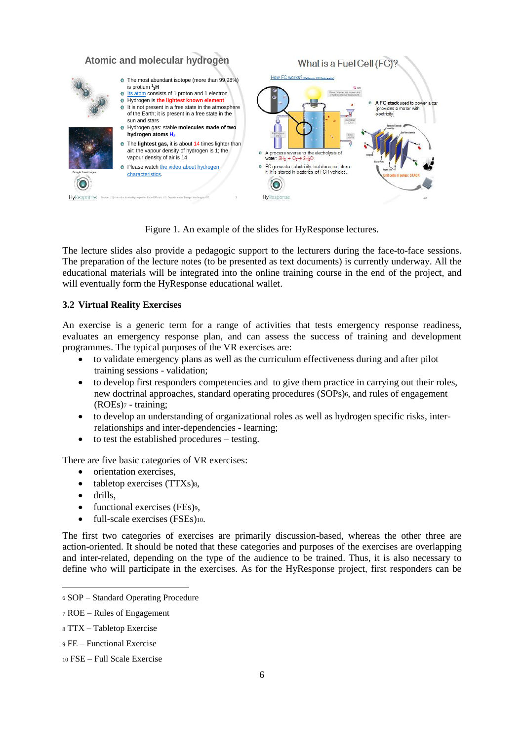

Figure 1. An example of the slides for HyResponse lectures.

The lecture slides also provide a pedagogic support to the lecturers during the face-to-face sessions. The preparation of the lecture notes (to be presented as text documents) is currently underway. All the educational materials will be integrated into the online training course in the end of the project, and will eventually form the HyResponse educational wallet.

# **3.2 Virtual Reality Exercises**

An exercise is a generic term for a range of activities that tests emergency response readiness, evaluates an emergency response plan, and can assess the success of training and development programmes. The typical purposes of the VR exercises are:

- to validate emergency plans as well as the curriculum effectiveness during and after pilot training sessions - validation;
- to develop first responders competencies and to give them practice in carrying out their roles, new doctrinal approaches, standard operating procedures (SOPs)6, and rules of engagement (ROEs)<sup>7</sup> - training;
- to develop an understanding of organizational roles as well as hydrogen specific risks, interrelationships and inter-dependencies - learning;
- $\bullet$  to test the established procedures testing.

There are five basic categories of VR exercises:

- orientation exercises,
- $\bullet$  tabletop exercises (TTXs) $\delta$ ,
- drills,

 $\overline{a}$ 

- functional exercises (FEs)9,
- full-scale exercises (FSEs)10.

The first two categories of exercises are primarily discussion-based, whereas the other three are action-oriented. It should be noted that these categories and purposes of the exercises are overlapping and inter-related, depending on the type of the audience to be trained. Thus, it is also necessary to define who will participate in the exercises. As for the HyResponse project, first responders can be

<sup>6</sup> SOP – Standard Operating Procedure

<sup>7</sup> ROE – Rules of Engagement

<sup>8</sup> TTX – Tabletop Exercise

<sup>9</sup> FE – Functional Exercise

<sup>10</sup> FSE – Full Scale Exercise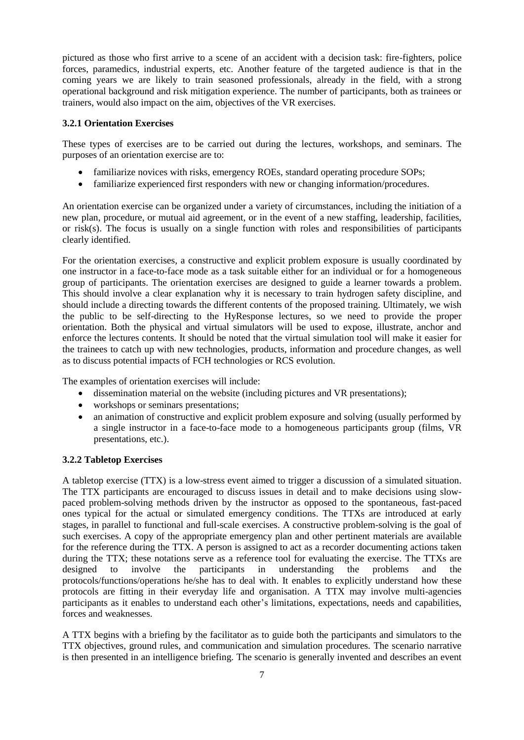pictured as those who first arrive to a scene of an accident with a decision task: fire-fighters, police forces, paramedics, industrial experts, etc. Another feature of the targeted audience is that in the coming years we are likely to train seasoned professionals, already in the field, with a strong operational background and risk mitigation experience. The number of participants, both as trainees or trainers, would also impact on the aim, objectives of the VR exercises.

#### **3.2.1 Orientation Exercises**

These types of exercises are to be carried out during the lectures, workshops, and seminars. The purposes of an orientation exercise are to:

- familiarize novices with risks, emergency ROEs, standard operating procedure SOPs;
- familiarize experienced first responders with new or changing information/procedures.

An orientation exercise can be organized under a variety of circumstances, including the initiation of a new plan, procedure, or mutual aid agreement, or in the event of a new staffing, leadership, facilities, or risk(s). The focus is usually on a single function with roles and responsibilities of participants clearly identified.

For the orientation exercises, a constructive and explicit problem exposure is usually coordinated by one instructor in a face-to-face mode as a task suitable either for an individual or for a homogeneous group of participants. The orientation exercises are designed to guide a learner towards a problem. This should involve a clear explanation why it is necessary to train hydrogen safety discipline, and should include a directing towards the different contents of the proposed training. Ultimately, we wish the public to be self-directing to the HyResponse lectures, so we need to provide the proper orientation. Both the physical and virtual simulators will be used to expose, illustrate, anchor and enforce the lectures contents. It should be noted that the virtual simulation tool will make it easier for the trainees to catch up with new technologies, products, information and procedure changes, as well as to discuss potential impacts of FCH technologies or RCS evolution.

The examples of orientation exercises will include:

- dissemination material on the website (including pictures and VR presentations);
- workshops or seminars presentations;
- an animation of constructive and explicit problem exposure and solving (usually performed by a single instructor in a face-to-face mode to a homogeneous participants group (films, VR presentations, etc.).

### **3.2.2 Tabletop Exercises**

A tabletop exercise (TTX) is a low-stress event aimed to trigger a discussion of a simulated situation. The TTX participants are encouraged to discuss issues in detail and to make decisions using slowpaced problem-solving methods driven by the instructor as opposed to the spontaneous, fast-paced ones typical for the actual or simulated emergency conditions. The TTXs are introduced at early stages, in parallel to functional and full-scale exercises. A constructive problem-solving is the goal of such exercises. A copy of the appropriate emergency plan and other pertinent materials are available for the reference during the TTX. A person is assigned to act as a recorder documenting actions taken during the TTX; these notations serve as a reference tool for evaluating the exercise. The TTXs are designed to involve the participants in understanding the problems and the protocols/functions/operations he/she has to deal with. It enables to explicitly understand how these protocols are fitting in their everyday life and organisation. A TTX may involve multi-agencies participants as it enables to understand each other's limitations, expectations, needs and capabilities, forces and weaknesses.

A TTX begins with a briefing by the facilitator as to guide both the participants and simulators to the TTX objectives, ground rules, and communication and simulation procedures. The scenario narrative is then presented in an intelligence briefing. The scenario is generally invented and describes an event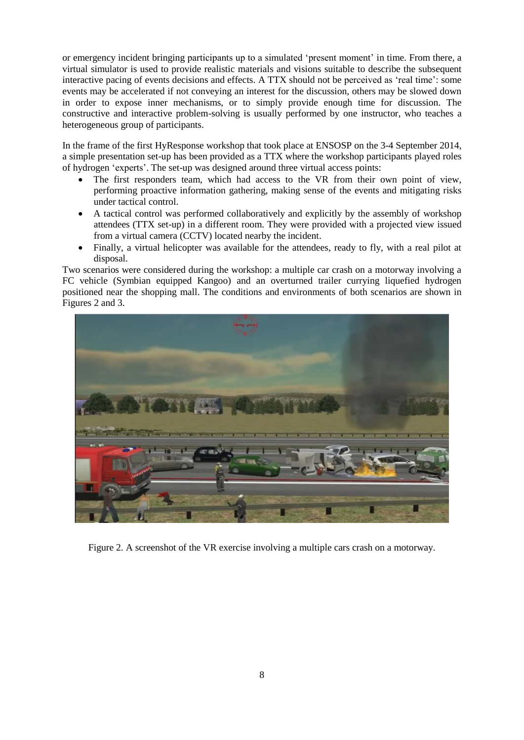or emergency incident bringing participants up to a simulated 'present moment' in time. From there, a virtual simulator is used to provide realistic materials and visions suitable to describe the subsequent interactive pacing of events decisions and effects. A TTX should not be perceived as 'real time': some events may be accelerated if not conveying an interest for the discussion, others may be slowed down in order to expose inner mechanisms, or to simply provide enough time for discussion. The constructive and interactive problem-solving is usually performed by one instructor, who teaches a heterogeneous group of participants.

In the frame of the first HyResponse workshop that took place at ENSOSP on the 3-4 September 2014, a simple presentation set-up has been provided as a TTX where the workshop participants played roles of hydrogen 'experts'. The set-up was designed around three virtual access points:

- The first responders team, which had access to the VR from their own point of view, performing proactive information gathering, making sense of the events and mitigating risks under tactical control.
- A tactical control was performed collaboratively and explicitly by the assembly of workshop attendees (TTX set-up) in a different room. They were provided with a projected view issued from a virtual camera (CCTV) located nearby the incident.
- Finally, a virtual helicopter was available for the attendees, ready to fly, with a real pilot at disposal.

Two scenarios were considered during the workshop: a multiple car crash on a motorway involving a FC vehicle (Symbian equipped Kangoo) and an overturned trailer currying liquefied hydrogen positioned near the shopping mall. The conditions and environments of both scenarios are shown in Figures 2 and 3.



Figure 2. A screenshot of the VR exercise involving a multiple cars crash on a motorway.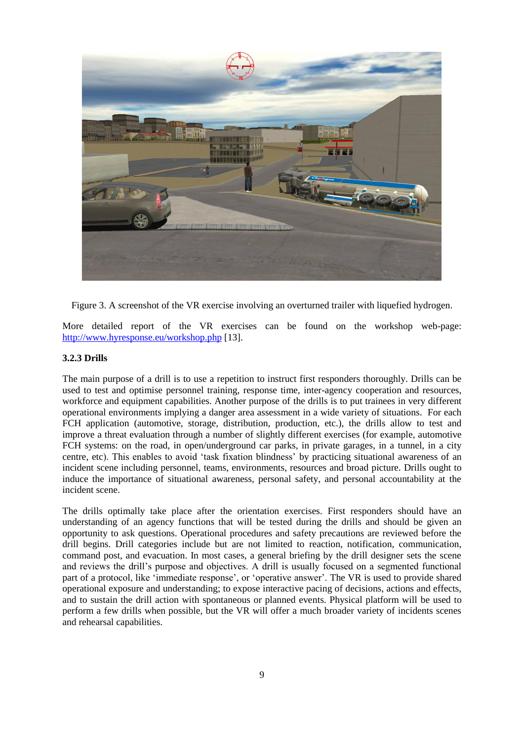

Figure 3. A screenshot of the VR exercise involving an overturned trailer with liquefied hydrogen.

More detailed report of the VR exercises can be found on the workshop web-page: <http://www.hyresponse.eu/workshop.php> [13].

#### **3.2.3 Drills**

The main purpose of a drill is to use a repetition to instruct first responders thoroughly. Drills can be used to test and optimise personnel training, response time, inter-agency cooperation and resources, workforce and equipment capabilities. Another purpose of the drills is to put trainees in very different operational environments implying a danger area assessment in a wide variety of situations. For each FCH application (automotive, storage, distribution, production, etc.), the drills allow to test and improve a threat evaluation through a number of slightly different exercises (for example, automotive FCH systems: on the road, in open/underground car parks, in private garages, in a tunnel, in a city centre, etc). This enables to avoid 'task fixation blindness' by practicing situational awareness of an incident scene including personnel, teams, environments, resources and broad picture. Drills ought to induce the importance of situational awareness, personal safety, and personal accountability at the incident scene.

The drills optimally take place after the orientation exercises. First responders should have an understanding of an agency functions that will be tested during the drills and should be given an opportunity to ask questions. Operational procedures and safety precautions are reviewed before the drill begins. Drill categories include but are not limited to reaction, notification, communication, command post, and evacuation. In most cases, a general briefing by the drill designer sets the scene and reviews the drill's purpose and objectives. A drill is usually focused on a segmented functional part of a protocol, like 'immediate response', or 'operative answer'. The VR is used to provide shared operational exposure and understanding; to expose interactive pacing of decisions, actions and effects, and to sustain the drill action with spontaneous or planned events. Physical platform will be used to perform a few drills when possible, but the VR will offer a much broader variety of incidents scenes and rehearsal capabilities.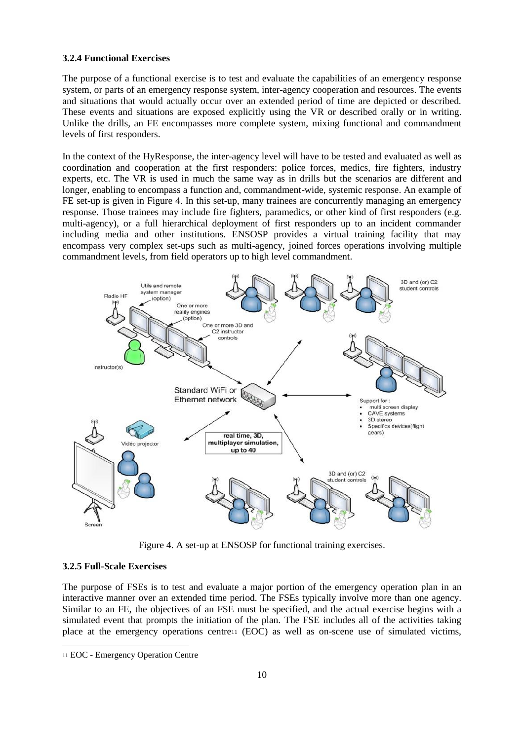#### **3.2.4 Functional Exercises**

The purpose of a functional exercise is to test and evaluate the capabilities of an emergency response system, or parts of an emergency response system, inter-agency cooperation and resources. The events and situations that would actually occur over an extended period of time are depicted or described. These events and situations are exposed explicitly using the VR or described orally or in writing. Unlike the drills, an FE encompasses more complete system, mixing functional and commandment levels of first responders.

In the context of the HyResponse, the inter-agency level will have to be tested and evaluated as well as coordination and cooperation at the first responders: police forces, medics, fire fighters, industry experts, etc. The VR is used in much the same way as in drills but the scenarios are different and longer, enabling to encompass a function and, commandment-wide, systemic response. An example of FE set-up is given in Figure 4. In this set-up, many trainees are concurrently managing an emergency response. Those trainees may include fire fighters, paramedics, or other kind of first responders (e.g. multi-agency), or a full hierarchical deployment of first responders up to an incident commander including media and other institutions. ENSOSP provides a virtual training facility that may encompass very complex set-ups such as multi-agency, joined forces operations involving multiple commandment levels, from field operators up to high level commandment.



Figure 4. A set-up at ENSOSP for functional training exercises.

#### **3.2.5 Full-Scale Exercises**

l

The purpose of FSEs is to test and evaluate a major portion of the emergency operation plan in an interactive manner over an extended time period. The FSEs typically involve more than one agency. Similar to an FE, the objectives of an FSE must be specified, and the actual exercise begins with a simulated event that prompts the initiation of the plan. The FSE includes all of the activities taking place at the emergency operations centre<sup>11</sup> (EOC) as well as on-scene use of simulated victims,

<sup>11</sup> EOC - Emergency Operation Centre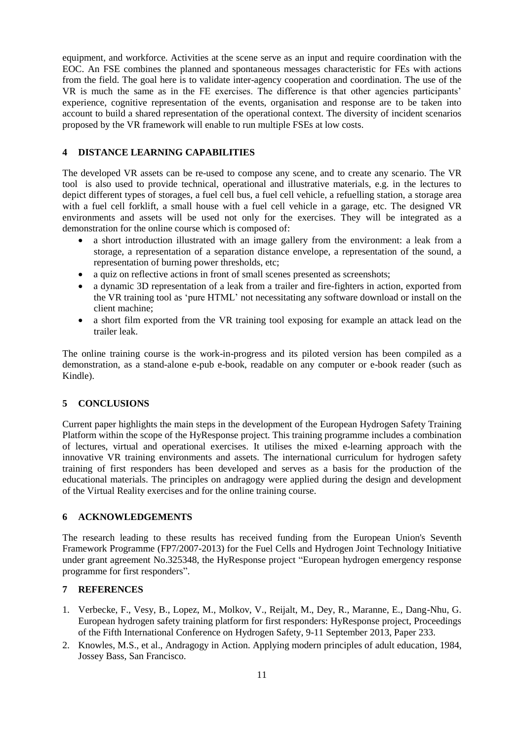equipment, and workforce. Activities at the scene serve as an input and require coordination with the EOC. An FSE combines the planned and spontaneous messages characteristic for FEs with actions from the field. The goal here is to validate inter-agency cooperation and coordination. The use of the VR is much the same as in the FE exercises. The difference is that other agencies participants' experience, cognitive representation of the events, organisation and response are to be taken into account to build a shared representation of the operational context. The diversity of incident scenarios proposed by the VR framework will enable to run multiple FSEs at low costs.

#### **4 DISTANCE LEARNING CAPABILITIES**

The developed VR assets can be re-used to compose any scene, and to create any scenario. The VR tool is also used to provide technical, operational and illustrative materials, e.g. in the lectures to depict different types of storages, a fuel cell bus, a fuel cell vehicle, a refuelling station, a storage area with a fuel cell forklift, a small house with a fuel cell vehicle in a garage, etc. The designed VR environments and assets will be used not only for the exercises. They will be integrated as a demonstration for the online course which is composed of:

- a short introduction illustrated with an image gallery from the environment: a leak from a storage, a representation of a separation distance envelope, a representation of the sound, a representation of burning power thresholds, etc;
- a quiz on reflective actions in front of small scenes presented as screenshots;
- a dynamic 3D representation of a leak from a trailer and fire-fighters in action, exported from the VR training tool as 'pure HTML' not necessitating any software download or install on the client machine;
- a short film exported from the VR training tool exposing for example an attack lead on the trailer leak.

The online training course is the work-in-progress and its piloted version has been compiled as a demonstration, as a stand-alone e-pub e-book, readable on any computer or e-book reader (such as Kindle).

#### **5 CONCLUSIONS**

Current paper highlights the main steps in the development of the European Hydrogen Safety Training Platform within the scope of the HyResponse project. This training programme includes a combination of lectures, virtual and operational exercises. It utilises the mixed e-learning approach with the innovative VR training environments and assets. The international curriculum for hydrogen safety training of first responders has been developed and serves as a basis for the production of the educational materials. The principles on andragogy were applied during the design and development of the Virtual Reality exercises and for the online training course.

#### **6 ACKNOWLEDGEMENTS**

The research leading to these results has received funding from the European Union's Seventh Framework Programme (FP7/2007-2013) for the Fuel Cells and Hydrogen Joint Technology Initiative under grant agreement No.325348, the HyResponse project "European hydrogen emergency response programme for first responders".

#### **7 REFERENCES**

- 1. Verbecke, F., Vesy, B., Lopez, M., Molkov, V., Reijalt, M., Dey, R., Maranne, E., Dang-Nhu, G. European hydrogen safety training platform for first responders: HyResponse project, Proceedings of the Fifth International Conference on Hydrogen Safety, 9-11 September 2013, Paper 233.
- 2. Knowles, M.S., et al., Andragogy in Action. Applying modern principles of adult education, 1984, Jossey Bass, San Francisco.